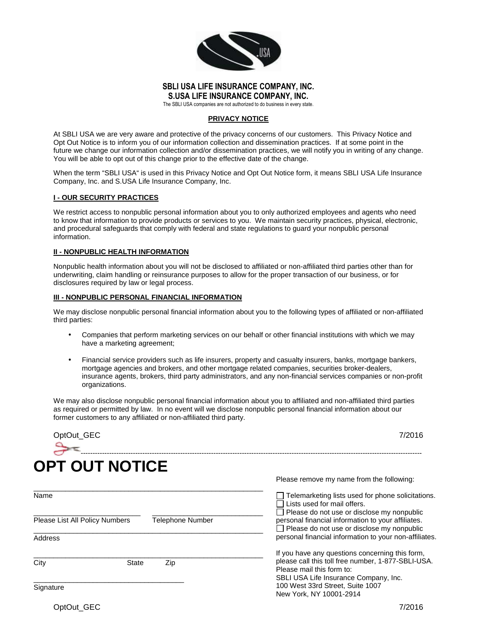

## **SBLI USA LIFE INSURANCE COMPANY, INC. S.USA LIFE INSURANCE COMPANY, INC.**

The SBLI USA companies are not authorized to do business in every state.

#### **PRIVACY NOTICE**

At SBLI USA we are very aware and protective of the privacy concerns of our customers. This Privacy Notice and Opt Out Notice is to inform you of our information collection and dissemination practices. If at some point in the future we change our information collection and/or dissemination practices, we will notify you in writing of any change. You will be able to opt out of this change prior to the effective date of the change.

When the term "SBLI USA" is used in this Privacy Notice and Opt Out Notice form, it means SBLI USA Life Insurance Company, Inc. and S.USA Life Insurance Company, Inc.

#### **I - OUR SECURITY PRACTICES**

We restrict access to nonpublic personal information about you to only authorized employees and agents who need to know that information to provide products or services to you. We maintain security practices, physical, electronic, and procedural safeguards that comply with federal and state regulations to guard your nonpublic personal information.

#### **II - NONPUBLIC HEALTH INFORMATION**

Nonpublic health information about you will not be disclosed to affiliated or non-affiliated third parties other than for underwriting, claim handling or reinsurance purposes to allow for the proper transaction of our business, or for disclosures required by law or legal process.

# **III - NONPUBLIC PERSONAL FINANCIAL INFORMATION**

We may disclose nonpublic personal financial information about you to the following types of affiliated or non-affiliated third parties:

- Companies that perform marketing services on our behalf or other financial institutions with which we may have a marketing agreement;
- Financial service providers such as life insurers, property and casualty insurers, banks, mortgage bankers, mortgage agencies and brokers, and other mortgage related companies, securities broker-dealers, insurance agents, brokers, third party administrators, and any non-financial services companies or non-profit organizations.

We may also disclose nonpublic personal financial information about you to affiliated and non-affiliated third parties as required or permitted by law. In no event will we disclose nonpublic personal financial information about our former customers to any affiliated or non-affiliated third party.

| OptOut_GEC                                                |                     | 7/2016                                                                                                                                                                                                                                                  |  |
|-----------------------------------------------------------|---------------------|---------------------------------------------------------------------------------------------------------------------------------------------------------------------------------------------------------------------------------------------------------|--|
| <b>OPT OUT NOTICE</b>                                     |                     | Please remove my name from the following:                                                                                                                                                                                                               |  |
| Name                                                      |                     | $\Box$ Telemarketing lists used for phone solicitations.<br>Lists used for mail offers.<br>$\Box$ Please do not use or disclose my nonpublic<br>personal financial information to your affiliates.<br>$\Box$ Please do not use or disclose my nonpublic |  |
| <b>Telephone Number</b><br>Please List All Policy Numbers |                     |                                                                                                                                                                                                                                                         |  |
| Address                                                   |                     | personal financial information to your non-affiliates.<br>If you have any questions concerning this form,                                                                                                                                               |  |
| City                                                      | <b>State</b><br>Zip | please call this toll free number, 1-877-SBLI-USA.<br>Please mail this form to:<br>SBLI USA Life Insurance Company, Inc.                                                                                                                                |  |
| Signature                                                 |                     | 100 West 33rd Street, Suite 1007<br>New York, NY 10001-2914                                                                                                                                                                                             |  |
| OptOut GEC                                                |                     | 7/2016                                                                                                                                                                                                                                                  |  |